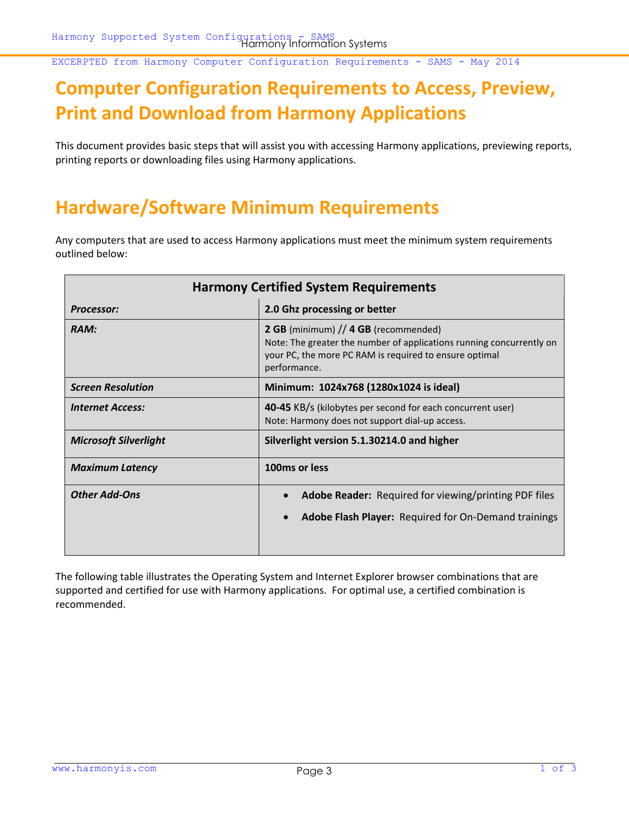EXCERPTED from Harmony Computer Configuration Requirements - SAMS - May 2014

## **Computer Configuration Requirements to Access, Preview, Print and Download from Harmony Applications**

This document provides basic steps that will assist you with accessing Harmony applications, previewing reports, printing reports or downloading files using Harmony applications.

## **Hardware/Software Minimum Requirements**

Any computers that are used to access Harmony applications must meet the minimum system requirements outlined below:

| <b>Harmony Certified System Requirements</b> |                                                                                                                                                                                        |  |  |
|----------------------------------------------|----------------------------------------------------------------------------------------------------------------------------------------------------------------------------------------|--|--|
| <b>Processor:</b>                            | 2.0 Ghz processing or better                                                                                                                                                           |  |  |
| RAM:                                         | 2 GB (minimum) // 4 GB (recommended)<br>Note: The greater the number of applications running concurrently on<br>your PC, the more PC RAM is required to ensure optimal<br>performance. |  |  |
| <b>Screen Resolution</b>                     | Minimum: 1024x768 (1280x1024 is ideal)                                                                                                                                                 |  |  |
| <b>Internet Access:</b>                      | 40-45 KB/s (kilobytes per second for each concurrent user)<br>Note: Harmony does not support dial-up access.                                                                           |  |  |
| <b>Microsoft Silverlight</b>                 | Silverlight version 5.1.30214.0 and higher                                                                                                                                             |  |  |
| <b>Maximum Latency</b>                       | 100ms or less                                                                                                                                                                          |  |  |
| <b>Other Add-Ons</b>                         | <b>Adobe Reader:</b> Required for viewing/printing PDF files<br>Adobe Flash Player: Required for On-Demand trainings                                                                   |  |  |

The following table illustrates the Operating System and Internet Explorer browser combinations that are supported and certified for use with Harmony applications. For optimal use, a certified combination is recommended.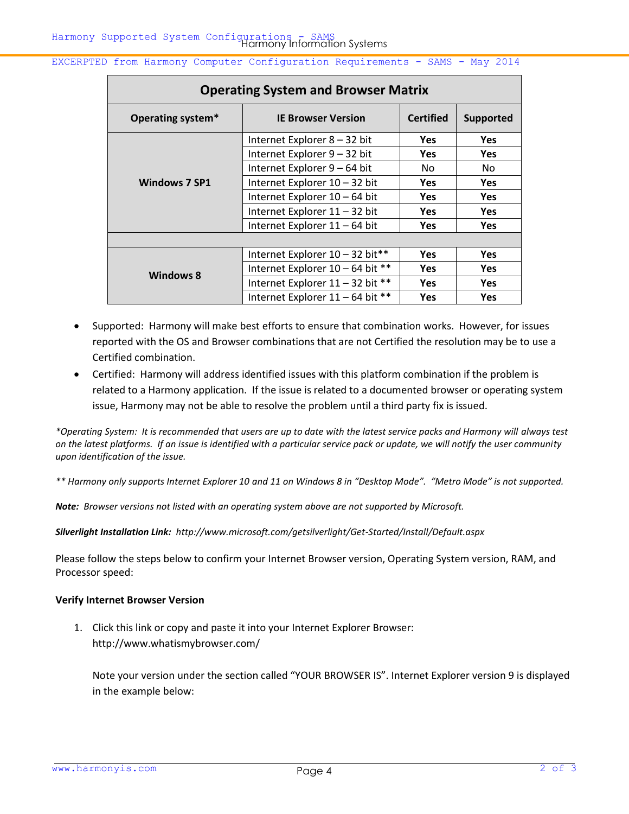EXCERPTED from Harmony Computer Configuration Requirements - SAMS - May 2014

| <b>Operating System and Browser Matrix</b> |                                  |                  |                  |
|--------------------------------------------|----------------------------------|------------------|------------------|
| Operating system*                          | <b>IE Browser Version</b>        | <b>Certified</b> | <b>Supported</b> |
| <b>Windows 7 SP1</b>                       | Internet Explorer 8 - 32 bit     | <b>Yes</b>       | <b>Yes</b>       |
|                                            | Internet Explorer 9 - 32 bit     | <b>Yes</b>       | <b>Yes</b>       |
|                                            | Internet Explorer 9 - 64 bit     | No.              | No               |
|                                            | Internet Explorer 10 - 32 bit    | <b>Yes</b>       | <b>Yes</b>       |
|                                            | Internet Explorer 10 - 64 bit    | Yes              | <b>Yes</b>       |
|                                            | Internet Explorer 11 - 32 bit    | <b>Yes</b>       | <b>Yes</b>       |
|                                            | Internet Explorer 11 - 64 bit    | Yes              | <b>Yes</b>       |
|                                            |                                  |                  |                  |
| <b>Windows 8</b>                           | Internet Explorer 10 - 32 bit**  | <b>Yes</b>       | <b>Yes</b>       |
|                                            | Internet Explorer 10 - 64 bit ** | <b>Yes</b>       | <b>Yes</b>       |
|                                            | Internet Explorer 11 - 32 bit ** | Yes              | <b>Yes</b>       |
|                                            | Internet Explorer 11 - 64 bit ** | <b>Yes</b>       | <b>Yes</b>       |

- Supported: Harmony will make best efforts to ensure that combination works. However, for issues reported with the OS and Browser combinations that are not Certified the resolution may be to use a Certified combination.
- Certified: Harmony will address identified issues with this platform combination if the problem is related to a Harmony application. If the issue is related to a documented browser or operating system issue, Harmony may not be able to resolve the problem until a third party fix is issued.

*\*Operating System: It is recommended that users are up to date with the latest service packs and Harmony will always test on the latest platforms. If an issue is identified with a particular service pack or update, we will notify the user community upon identification of the issue.* 

*\*\* Harmony only supports Internet Explorer 10 and 11 on Windows 8 in "Desktop Mode". "Metro Mode" is not supported.*

*Note: Browser versions not listed with an operating system above are not supported by Microsoft.* 

*Silverlight Installation Link:<http://www.microsoft.com/getsilverlight/Get-Started/Install/Default.aspx>*

Please follow the steps below to confirm your Internet Browser version, Operating System version, RAM, and Processor speed:

## **Verify Internet Browser Version**

1. Click this link or copy and paste it into your Internet Explorer Browser: <http://www.whatismybrowser.com/>

Note your version under the section called "YOUR BROWSER IS". Internet Explorer version 9 is displayed in the example below: